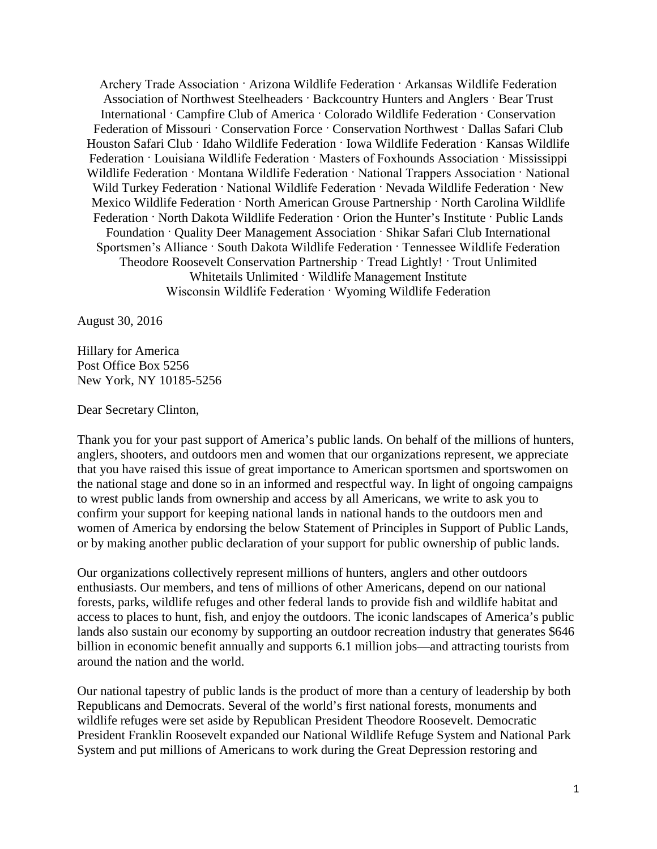Archery Trade Association · Arizona Wildlife Federation · Arkansas Wildlife Federation Association of Northwest Steelheaders · Backcountry Hunters and Anglers · Bear Trust International · Campfire Club of America · Colorado Wildlife Federation · Conservation Federation of Missouri · Conservation Force · Conservation Northwest · Dallas Safari Club Houston Safari Club · Idaho Wildlife Federation · Iowa Wildlife Federation · Kansas Wildlife Federation · Louisiana Wildlife Federation · Masters of Foxhounds Association · Mississippi Wildlife Federation · Montana Wildlife Federation · National Trappers Association · National Wild Turkey Federation · National Wildlife Federation · Nevada Wildlife Federation · New Mexico Wildlife Federation · North American Grouse Partnership · North Carolina Wildlife Federation · North Dakota Wildlife Federation · Orion the Hunter's Institute · Public Lands Foundation · Quality Deer Management Association · Shikar Safari Club International Sportsmen's Alliance · South Dakota Wildlife Federation · Tennessee Wildlife Federation Theodore Roosevelt Conservation Partnership · Tread Lightly! · Trout Unlimited Whitetails Unlimited · Wildlife Management Institute Wisconsin Wildlife Federation · Wyoming Wildlife Federation

August 30, 2016

Hillary for America Post Office Box 5256 New York, NY 10185-5256

Dear Secretary Clinton,

Thank you for your past support of America's public lands. On behalf of the millions of hunters, anglers, shooters, and outdoors men and women that our organizations represent, we appreciate that you have raised this issue of great importance to American sportsmen and sportswomen on the national stage and done so in an informed and respectful way. In light of ongoing campaigns to wrest public lands from ownership and access by all Americans, we write to ask you to confirm your support for keeping national lands in national hands to the outdoors men and women of America by endorsing the below Statement of Principles in Support of Public Lands, or by making another public declaration of your support for public ownership of public lands.

Our organizations collectively represent millions of hunters, anglers and other outdoors enthusiasts. Our members, and tens of millions of other Americans, depend on our national forests, parks, wildlife refuges and other federal lands to provide fish and wildlife habitat and access to places to hunt, fish, and enjoy the outdoors. The iconic landscapes of America's public lands also sustain our economy by supporting an outdoor recreation industry that generates \$646 billion in economic benefit annually and supports 6.1 million jobs—and attracting tourists from around the nation and the world.

Our national tapestry of public lands is the product of more than a century of leadership by both Republicans and Democrats. Several of the world's first national forests, monuments and wildlife refuges were set aside by Republican President Theodore Roosevelt. Democratic President Franklin Roosevelt expanded our National Wildlife Refuge System and National Park System and put millions of Americans to work during the Great Depression restoring and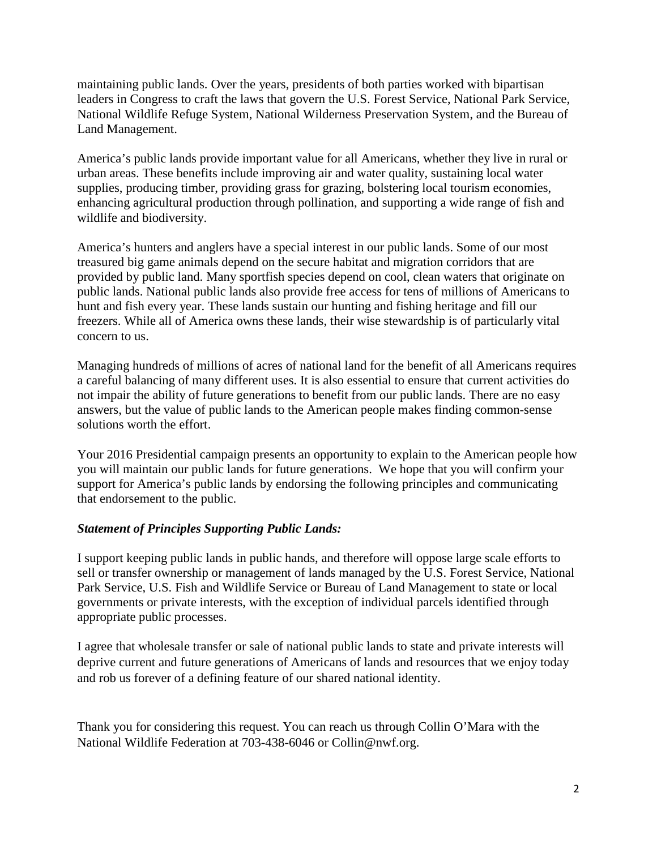maintaining public lands. Over the years, presidents of both parties worked with bipartisan leaders in Congress to craft the laws that govern the U.S. Forest Service, National Park Service, National Wildlife Refuge System, National Wilderness Preservation System, and the Bureau of Land Management.

America's public lands provide important value for all Americans, whether they live in rural or urban areas. These benefits include improving air and water quality, sustaining local water supplies, producing timber, providing grass for grazing, bolstering local tourism economies, enhancing agricultural production through pollination, and supporting a wide range of fish and wildlife and biodiversity.

America's hunters and anglers have a special interest in our public lands. Some of our most treasured big game animals depend on the secure habitat and migration corridors that are provided by public land. Many sportfish species depend on cool, clean waters that originate on public lands. National public lands also provide free access for tens of millions of Americans to hunt and fish every year. These lands sustain our hunting and fishing heritage and fill our freezers. While all of America owns these lands, their wise stewardship is of particularly vital concern to us.

Managing hundreds of millions of acres of national land for the benefit of all Americans requires a careful balancing of many different uses. It is also essential to ensure that current activities do not impair the ability of future generations to benefit from our public lands. There are no easy answers, but the value of public lands to the American people makes finding common-sense solutions worth the effort.

Your 2016 Presidential campaign presents an opportunity to explain to the American people how you will maintain our public lands for future generations. We hope that you will confirm your support for America's public lands by endorsing the following principles and communicating that endorsement to the public.

## *Statement of Principles Supporting Public Lands:*

I support keeping public lands in public hands, and therefore will oppose large scale efforts to sell or transfer ownership or management of lands managed by the U.S. Forest Service, National Park Service, U.S. Fish and Wildlife Service or Bureau of Land Management to state or local governments or private interests, with the exception of individual parcels identified through appropriate public processes.

I agree that wholesale transfer or sale of national public lands to state and private interests will deprive current and future generations of Americans of lands and resources that we enjoy today and rob us forever of a defining feature of our shared national identity.

Thank you for considering this request. You can reach us through Collin O'Mara with the National Wildlife Federation at 703-438-6046 or Collin@nwf.org.